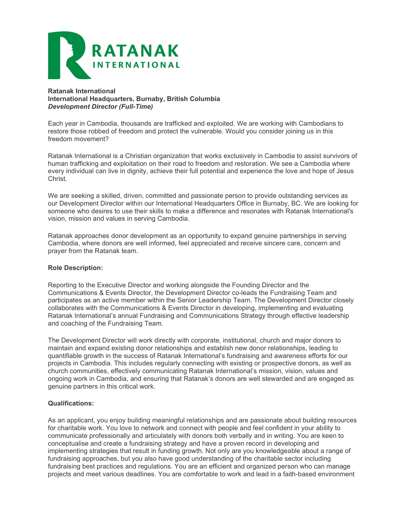

## Ratanak International International Headquarters, Burnaby, British Columbia Development Director (Full-Time)

Each year in Cambodia, thousands are trafficked and exploited. We are working with Cambodians to restore those robbed of freedom and protect the vulnerable. Would you consider joining us in this freedom movement?

Ratanak International is a Christian organization that works exclusively in Cambodia to assist survivors of human trafficking and exploitation on their road to freedom and restoration. We see a Cambodia where every individual can live in dignity, achieve their full potential and experience the love and hope of Jesus Christ.

We are seeking a skilled, driven, committed and passionate person to provide outstanding services as our Development Director within our International Headquarters Office in Burnaby, BC. We are looking for someone who desires to use their skills to make a difference and resonates with Ratanak International's vision, mission and values in serving Cambodia.

Ratanak approaches donor development as an opportunity to expand genuine partnerships in serving Cambodia, where donors are well informed, feel appreciated and receive sincere care, concern and prayer from the Ratanak team.

# Role Description:

Reporting to the Executive Director and working alongside the Founding Director and the Communications & Events Director, the Development Director co-leads the Fundraising Team and participates as an active member within the Senior Leadership Team. The Development Director closely collaborates with the Communications & Events Director in developing, implementing and evaluating Ratanak International's annual Fundraising and Communications Strategy through effective leadership and coaching of the Fundraising Team.

The Development Director will work directly with corporate, institutional, church and major donors to maintain and expand existing donor relationships and establish new donor relationships, leading to quantifiable growth in the success of Ratanak International's fundraising and awareness efforts for our projects in Cambodia. This includes regularly connecting with existing or prospective donors, as well as church communities, effectively communicating Ratanak International's mission, vision, values and ongoing work in Cambodia, and ensuring that Ratanak's donors are well stewarded and are engaged as genuine partners in this critical work.

## Qualifications:

As an applicant, you enjoy building meaningful relationships and are passionate about building resources for charitable work. You love to network and connect with people and feel confident in your ability to communicate professionally and articulately with donors both verbally and in writing. You are keen to conceptualise and create a fundraising strategy and have a proven record in developing and implementing strategies that result in funding growth. Not only are you knowledgeable about a range of fundraising approaches, but you also have good understanding of the charitable sector including fundraising best practices and regulations. You are an efficient and organized person who can manage projects and meet various deadlines. You are comfortable to work and lead in a faith-based environment